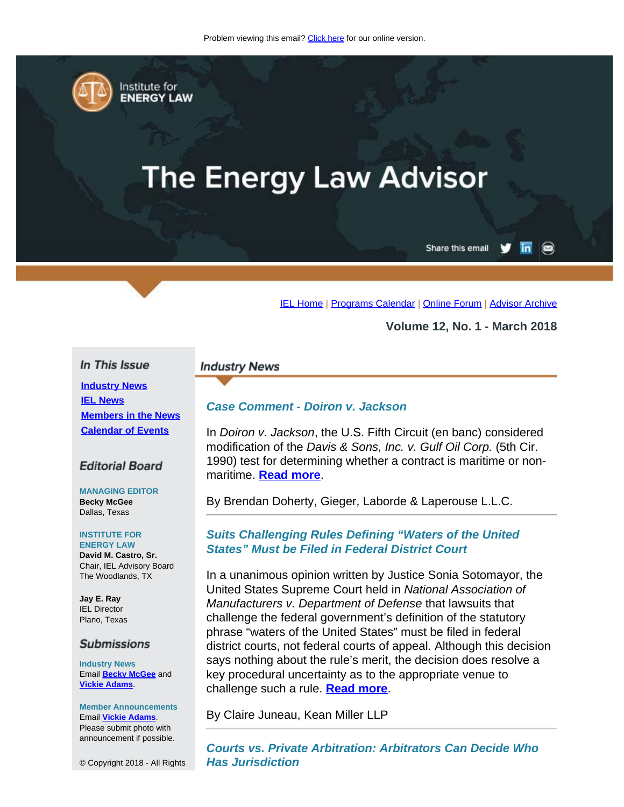<span id="page-0-0"></span>

Institute for **ENERGY LAW** 

# **The Energy Law Advisor**

Share this email in

[IEL Home](http://www.cailaw.org/institute-for-energy-law/index.html?utm_source=Informz&utm_medium=Email&utm_campaign=Event+Details) | [Programs Calendar](http://www.cailaw.org/institute-for-energy-law/programs-calendar.html?utm_source=Informz&utm_medium=Email&utm_campaign=Event+Details) | [Online Forum](https://www.linkedin.com/groups?gid=2330688&trk=myg_ugrp_ovr) | [Advisor Archive](http://www.cailaw.org/institute-for-energy-law/publications/energy-law-advisor.html?utm_source=Informz&utm_medium=Email&utm_campaign=Event+Details)

**Volume 12, No. 1 - March 2018**

### In This Issue

**[Industry News](#page-0-0) [IEL News](#page-0-0) [Members in the News](#page-0-0) [Calendar of Events](#page-0-0)**

## **Editorial Board**

**MANAGING EDITOR Becky McGee** Dallas, Texas

#### **INSTITUTE FOR**

**ENERGY LAW David M. Castro, Sr.** Chair, IEL Advisory Board The Woodlands, TX

**Jay E. Ray** IEL Director Plano, Texas

#### **Submissions**

**Industry News** Email **[Becky McGee](mailto:beckymcgee@charter.net)** and **[Vickie Adams](mailto:vadams@cailaw.org)**.

**Member Announcements** Email **[Vickie Adams](mailto:vadams@cailaw.org)**. Please submit photo with announcement if possible.

© Copyright 2018 - All Rights

#### **Industry News**

## *Case Comment - Doiron v. Jackson*

In *Doiron v. Jackson*, the U.S. Fifth Circuit (en banc) considered modification of the *Davis & Sons, Inc. v. Gulf Oil Corp.* (5th Cir. 1990) test for determining whether a contract is maritime or nonmaritime. **[Read more](http://www.cailaw.org/media/files/IEL/Publications/2018/doherty-vol12no1.pdf)**.

By Brendan Doherty, Gieger, Laborde & Laperouse L.L.C.

## *Suits Challenging Rules Defining "Waters of the United States" Must be Filed in Federal District Court*

In a unanimous opinion written by Justice Sonia Sotomayor, the United States Supreme Court held in *National Association of Manufacturers v. Department of Defense* that lawsuits that challenge the federal government's definition of the statutory phrase "waters of the United States" must be filed in federal district courts, not federal courts of appeal. Although this decision says nothing about the rule's merit, the decision does resolve a key procedural uncertainty as to the appropriate venue to challenge such a rule. **[Read more](http://www.cailaw.org/media/files/IEL/Publications/2018/juneau-vol12no1.pdf)**.

By Claire Juneau, Kean Miller LLP

*Courts vs. Private Arbitration: Arbitrators Can Decide Who Has Jurisdiction*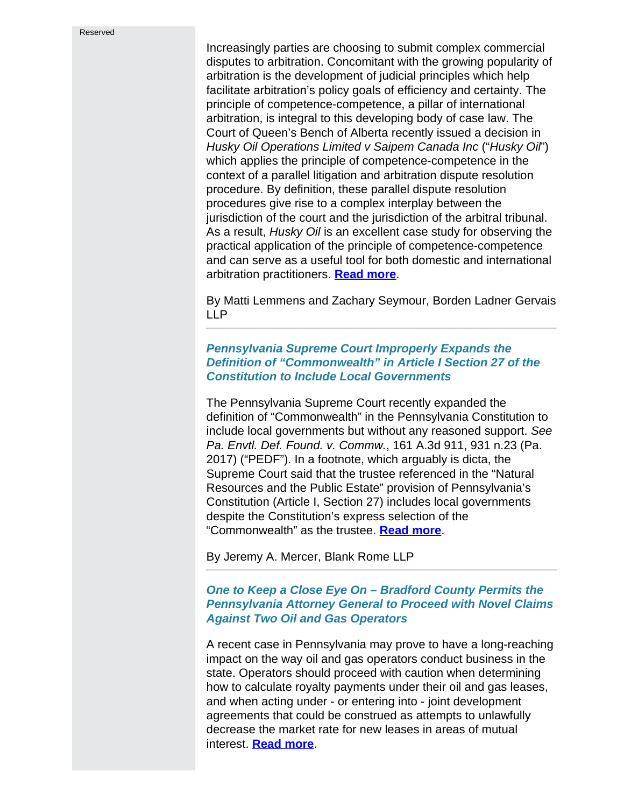Increasingly parties are choosing to submit complex commercial disputes to arbitration. Concomitant with the growing popularity of arbitration is the development of judicial principles which help facilitate arbitration's policy goals of efficiency and certainty. The principle of competence-competence, a pillar of international arbitration, is integral to this developing body of case law. The Court of Queen's Bench of Alberta recently issued a decision in *Husky Oil Operations Limited v Saipem Canada Inc* ("*Husky Oil*") which applies the principle of competence-competence in the context of a parallel litigation and arbitration dispute resolution procedure. By definition, these parallel dispute resolution procedures give rise to a complex interplay between the jurisdiction of the court and the jurisdiction of the arbitral tribunal. As a result, *Husky Oil* is an excellent case study for observing the practical application of the principle of competence-competence and can serve as a useful tool for both domestic and international arbitration practitioners. **[Read more](http://www.cailaw.org/media/files/IEL/Publications/2018/lemmens-vol12no1.pdf)**.

By Matti Lemmens and Zachary Seymour, Borden Ladner Gervais LLP

# *Pennsylvania Supreme Court Improperly Expands the Definition of "Commonwealth" in Article I Section 27 of the Constitution to Include Local Governments*

The Pennsylvania Supreme Court recently expanded the definition of "Commonwealth" in the Pennsylvania Constitution to include local governments but without any reasoned support. *See Pa. Envtl. Def. Found. v. Commw.*, 161 A.3d 911, 931 n.23 (Pa. 2017) ("PEDF"). In a footnote, which arguably is dicta, the Supreme Court said that the trustee referenced in the "Natural Resources and the Public Estate" provision of Pennsylvania's Constitution (Article I, Section 27) includes local governments despite the Constitution's express selection of the "Commonwealth" as the trustee. **[Read more](http://www.cailaw.org/media/files/IEL/Publications/2018/mercer-vol12no1.pdf)**.

By Jeremy A. Mercer, Blank Rome LLP

# *One to Keep a Close Eye On – Bradford County Permits the Pennsylvania Attorney General to Proceed with Novel Claims Against Two Oil and Gas Operators*

A recent case in Pennsylvania may prove to have a long-reaching impact on the way oil and gas operators conduct business in the state. Operators should proceed with caution when determining how to calculate royalty payments under their oil and gas leases, and when acting under - or entering into - joint development agreements that could be construed as attempts to unlawfully decrease the market rate for new leases in areas of mutual interest. **[Read more](http://www.cailaw.org/media/files/IEL/Publications/2018/witzel-vol12no1.pdf)**.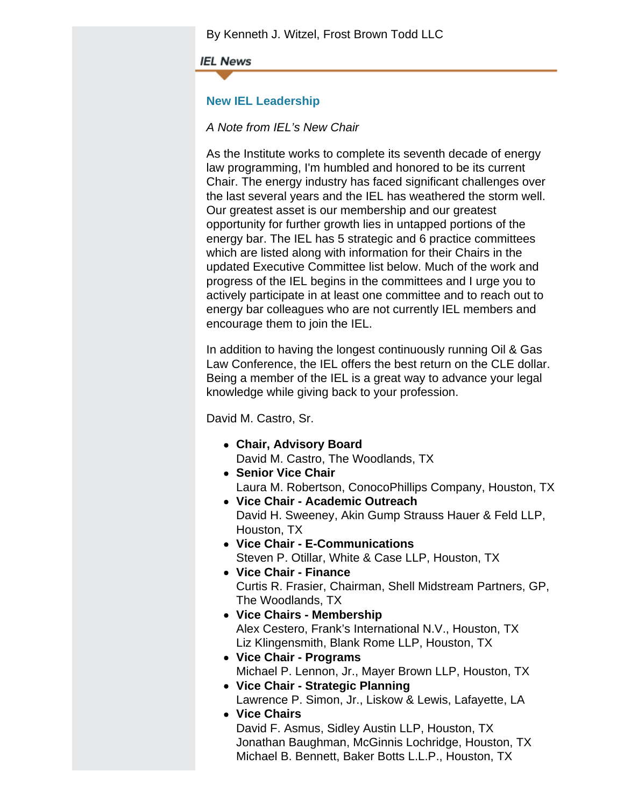By Kenneth J. Witzel, Frost Brown Todd LLC

**IEL News** 

# **New IEL Leadership**

# *A Note from IEL's New Chair*

As the Institute works to complete its seventh decade of energy law programming, I'm humbled and honored to be its current Chair. The energy industry has faced significant challenges over the last several years and the IEL has weathered the storm well. Our greatest asset is our membership and our greatest opportunity for further growth lies in untapped portions of the energy bar. The IEL has 5 strategic and 6 practice committees which are listed along with information for their Chairs in the updated Executive Committee list below. Much of the work and progress of the IEL begins in the committees and I urge you to actively participate in at least one committee and to reach out to energy bar colleagues who are not currently IEL members and encourage them to join the IEL.

In addition to having the longest continuously running Oil & Gas Law Conference, the IEL offers the best return on the CLE dollar. Being a member of the IEL is a great way to advance your legal knowledge while giving back to your profession.

David M. Castro, Sr.

- **Chair, Advisory Board** David M. Castro, The Woodlands, TX
- **Senior Vice Chair** Laura M. Robertson, ConocoPhillips Company, Houston, TX
- **Vice Chair Academic Outreach** David H. Sweeney, Akin Gump Strauss Hauer & Feld LLP, Houston, TX
- **Vice Chair E-Communications** Steven P. Otillar, White & Case LLP, Houston, TX
- **Vice Chair Finance** Curtis R. Frasier, Chairman, Shell Midstream Partners, GP, The Woodlands, TX
- **Vice Chairs Membership** Alex Cestero, Frank's International N.V., Houston, TX Liz Klingensmith, Blank Rome LLP, Houston, TX
- **Vice Chair Programs** Michael P. Lennon, Jr., Mayer Brown LLP, Houston, TX
- **Vice Chair Strategic Planning** Lawrence P. Simon, Jr., Liskow & Lewis, Lafayette, LA
- **Vice Chairs** David F. Asmus, Sidley Austin LLP, Houston, TX Jonathan Baughman, McGinnis Lochridge, Houston, TX Michael B. Bennett, Baker Botts L.L.P., Houston, TX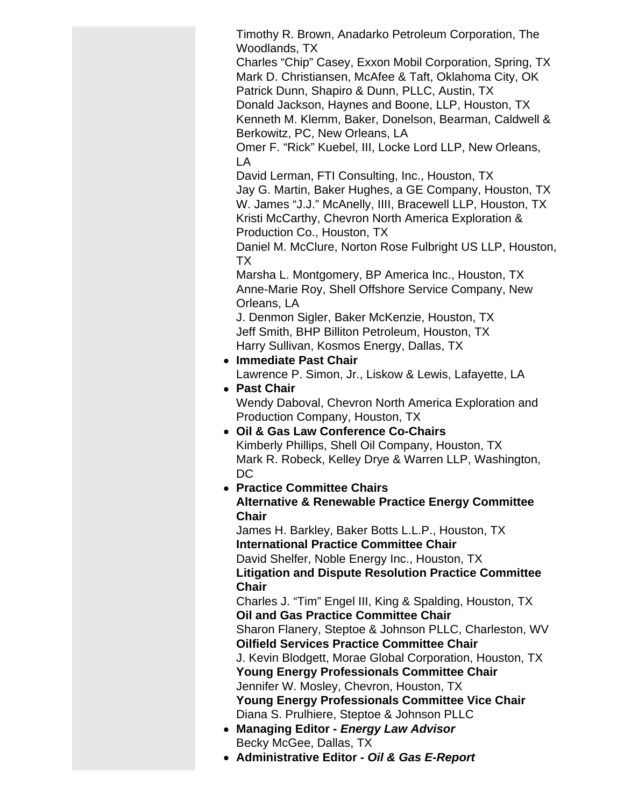Timothy R. Brown, Anadarko Petroleum Corporation, The Woodlands, TX

Charles "Chip" Casey, Exxon Mobil Corporation, Spring, TX Mark D. Christiansen, McAfee & Taft, Oklahoma City, OK Patrick Dunn, Shapiro & Dunn, PLLC, Austin, TX

Donald Jackson, Haynes and Boone, LLP, Houston, TX Kenneth M. Klemm, Baker, Donelson, Bearman, Caldwell & Berkowitz, PC, New Orleans, LA

Omer F. "Rick" Kuebel, III, Locke Lord LLP, New Orleans, LA

David Lerman, FTI Consulting, Inc., Houston, TX

Jay G. Martin, Baker Hughes, a GE Company, Houston, TX W. James "J.J." McAnelly, IIII, Bracewell LLP, Houston, TX Kristi McCarthy, Chevron North America Exploration & Production Co., Houston, TX

Daniel M. McClure, Norton Rose Fulbright US LLP, Houston, TX

Marsha L. Montgomery, BP America Inc., Houston, TX Anne-Marie Roy, Shell Offshore Service Company, New Orleans, LA

J. Denmon Sigler, Baker McKenzie, Houston, TX Jeff Smith, BHP Billiton Petroleum, Houston, TX Harry Sullivan, Kosmos Energy, Dallas, TX

- **Immediate Past Chair** Lawrence P. Simon, Jr., Liskow & Lewis, Lafayette, LA
- **Past Chair** Wendy Daboval, Chevron North America Exploration and Production Company, Houston, TX
- **Oil & Gas Law Conference Co-Chairs** Kimberly Phillips, Shell Oil Company, Houston, TX Mark R. Robeck, Kelley Drye & Warren LLP, Washington, DC
- **Practice Committee Chairs Alternative & Renewable Practice Energy Committee Chair**

James H. Barkley, Baker Botts L.L.P., Houston, TX **International Practice Committee Chair** David Shelfer, Noble Energy Inc., Houston, TX **Litigation and Dispute Resolution Practice Committee Chair**

Charles J. "Tim" Engel III, King & Spalding, Houston, TX **Oil and Gas Practice Committee Chair** Sharon Flanery, Steptoe & Johnson PLLC, Charleston, WV **Oilfield Services Practice Committee Chair** J. Kevin Blodgett, Morae Global Corporation, Houston, TX

**Young Energy Professionals Committee Chair** Jennifer W. Mosley, Chevron, Houston, TX **Young Energy Professionals Committee Vice Chair**

- Diana S. Prulhiere, Steptoe & Johnson PLLC **Managing Editor -** *Energy Law Advisor*
- Becky McGee, Dallas, TX
- **Administrative Editor** *Oil & Gas E-Report*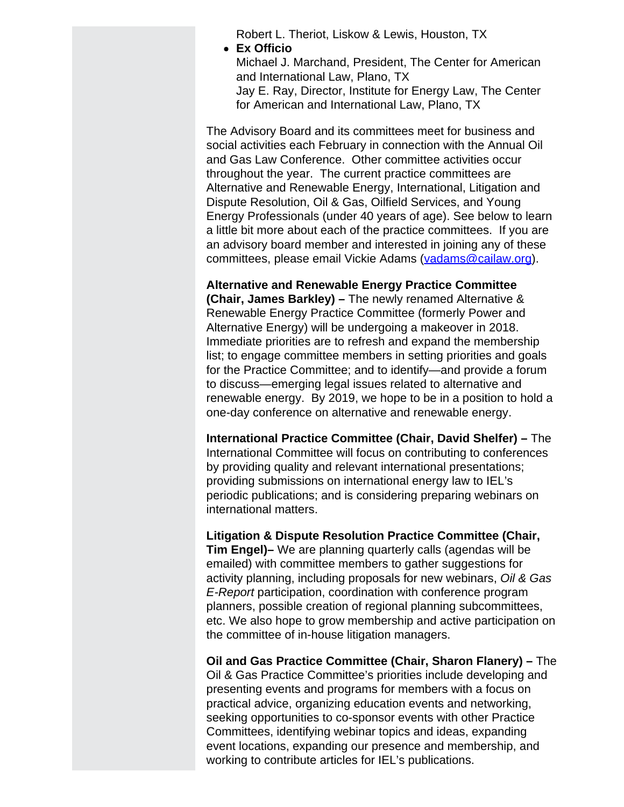Robert L. Theriot, Liskow & Lewis, Houston, TX

- **Ex Officio**
	- Michael J. Marchand, President, The Center for American and International Law, Plano, TX Jay E. Ray, Director, Institute for Energy Law, The Center for American and International Law, Plano, TX

The Advisory Board and its committees meet for business and social activities each February in connection with the Annual Oil and Gas Law Conference. Other committee activities occur throughout the year. The current practice committees are Alternative and Renewable Energy, International, Litigation and Dispute Resolution, Oil & Gas, Oilfield Services, and Young Energy Professionals (under 40 years of age). See below to learn a little bit more about each of the practice committees. If you are an advisory board member and interested in joining any of these committees, please email Vickie Adams [\(vadams@cailaw.org](mailto:vadams@cailaw.org)).

**Alternative and Renewable Energy Practice Committee (Chair, James Barkley) –** The newly renamed Alternative & Renewable Energy Practice Committee (formerly Power and Alternative Energy) will be undergoing a makeover in 2018. Immediate priorities are to refresh and expand the membership list; to engage committee members in setting priorities and goals for the Practice Committee; and to identify—and provide a forum to discuss—emerging legal issues related to alternative and renewable energy. By 2019, we hope to be in a position to hold a one-day conference on alternative and renewable energy.

**International Practice Committee (Chair, David Shelfer) –** The International Committee will focus on contributing to conferences by providing quality and relevant international presentations; providing submissions on international energy law to IEL's periodic publications; and is considering preparing webinars on international matters.

**Litigation & Dispute Resolution Practice Committee (Chair, Tim Engel)–** We are planning quarterly calls (agendas will be emailed) with committee members to gather suggestions for activity planning, including proposals for new webinars, *Oil & Gas E-Report* participation, coordination with conference program planners, possible creation of regional planning subcommittees, etc. We also hope to grow membership and active participation on the committee of in-house litigation managers.

**Oil and Gas Practice Committee (Chair, Sharon Flanery) –** The Oil & Gas Practice Committee's priorities include developing and presenting events and programs for members with a focus on practical advice, organizing education events and networking, seeking opportunities to co-sponsor events with other Practice Committees, identifying webinar topics and ideas, expanding event locations, expanding our presence and membership, and working to contribute articles for IEL's publications.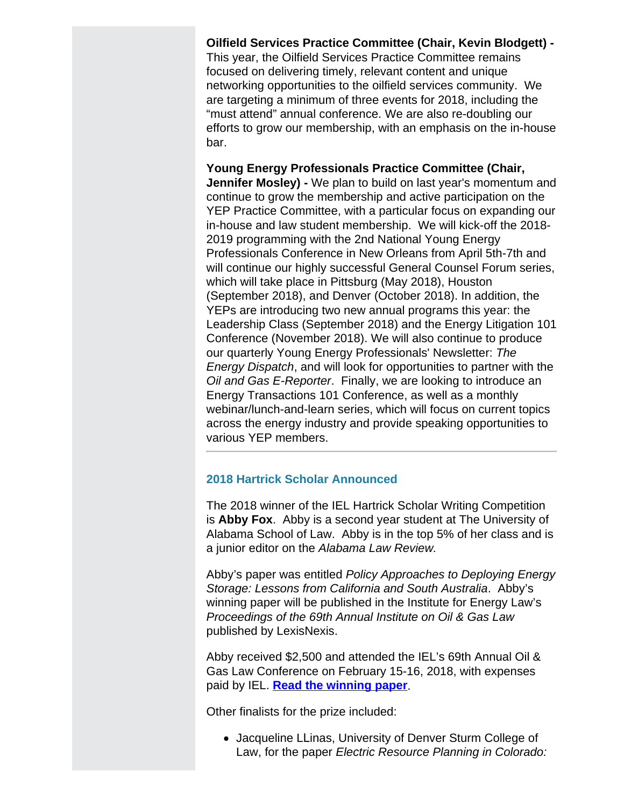**Oilfield Services Practice Committee (Chair, Kevin Blodgett) -** This year, the Oilfield Services Practice Committee remains focused on delivering timely, relevant content and unique networking opportunities to the oilfield services community. We are targeting a minimum of three events for 2018, including the "must attend" annual conference. We are also re-doubling our efforts to grow our membership, with an emphasis on the in-house bar.

**Young Energy Professionals Practice Committee (Chair, Jennifer Mosley) -** We plan to build on last year's momentum and continue to grow the membership and active participation on the YEP Practice Committee, with a particular focus on expanding our in-house and law student membership. We will kick-off the 2018- 2019 programming with the 2nd National Young Energy Professionals Conference in New Orleans from April 5th-7th and will continue our highly successful General Counsel Forum series, which will take place in Pittsburg (May 2018), Houston (September 2018), and Denver (October 2018). In addition, the YEPs are introducing two new annual programs this year: the Leadership Class (September 2018) and the Energy Litigation 101 Conference (November 2018). We will also continue to produce our quarterly Young Energy Professionals' Newsletter: *The Energy Dispatch*, and will look for opportunities to partner with the *Oil and Gas E-Reporter*. Finally, we are looking to introduce an Energy Transactions 101 Conference, as well as a monthly webinar/lunch-and-learn series, which will focus on current topics across the energy industry and provide speaking opportunities to various YEP members.

# **2018 Hartrick Scholar Announced**

The 2018 winner of the IEL Hartrick Scholar Writing Competition is **Abby Fox**. Abby is a second year student at The University of Alabama School of Law. Abby is in the top 5% of her class and is a junior editor on the *Alabama Law Review.*

Abby's paper was entitled *Policy Approaches to Deploying Energy Storage: Lessons from California and South Australia*. Abby's winning paper will be published in the Institute for Energy Law's *Proceedings of the 69th Annual Institute on Oil & Gas Law* published by LexisNexis.

Abby received \$2,500 and attended the IEL's 69th Annual Oil & Gas Law Conference on February 15-16, 2018, with expenses paid by IEL. **[Read the winning paper](http://www.cailaw.org/media/files/IEL/Publications/2018/fox-vol12no1.pdf)**.

Other finalists for the prize included:

Jacqueline LLinas, University of Denver Sturm College of Law, for the paper *Electric Resource Planning in Colorado:*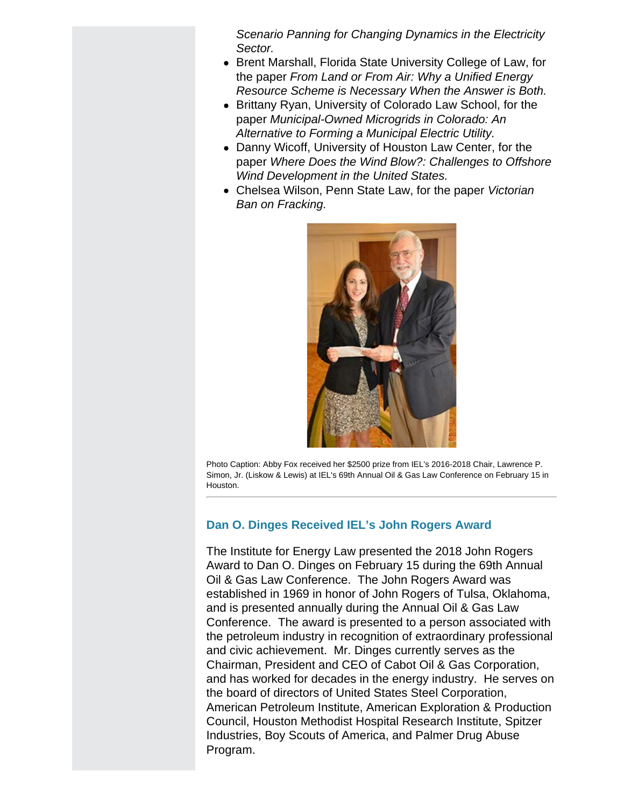*Scenario Panning for Changing Dynamics in the Electricity Sector.*

- Brent Marshall, Florida State University College of Law, for the paper *From Land or From Air: Why a Unified Energy Resource Scheme is Necessary When the Answer is Both.*
- Brittany Ryan, University of Colorado Law School, for the paper *Municipal-Owned Microgrids in Colorado: An Alternative to Forming a Municipal Electric Utility.*
- Danny Wicoff, University of Houston Law Center, for the paper *Where Does the Wind Blow?: Challenges to Offshore Wind Development in the United States.*
- Chelsea Wilson, Penn State Law, for the paper *Victorian Ban on Fracking.*



Photo Caption: Abby Fox received her \$2500 prize from IEL's 2016-2018 Chair, Lawrence P. Simon, Jr. (Liskow & Lewis) at IEL's 69th Annual Oil & Gas Law Conference on February 15 in Houston.

# **Dan O. Dinges Received IEL's John Rogers Award**

The Institute for Energy Law presented the 2018 John Rogers Award to Dan O. Dinges on February 15 during the 69th Annual Oil & Gas Law Conference. The John Rogers Award was established in 1969 in honor of John Rogers of Tulsa, Oklahoma, and is presented annually during the Annual Oil & Gas Law Conference. The award is presented to a person associated with the petroleum industry in recognition of extraordinary professional and civic achievement. Mr. Dinges currently serves as the Chairman, President and CEO of Cabot Oil & Gas Corporation, and has worked for decades in the energy industry. He serves on the board of directors of United States Steel Corporation, American Petroleum Institute, American Exploration & Production Council, Houston Methodist Hospital Research Institute, Spitzer Industries, Boy Scouts of America, and Palmer Drug Abuse Program.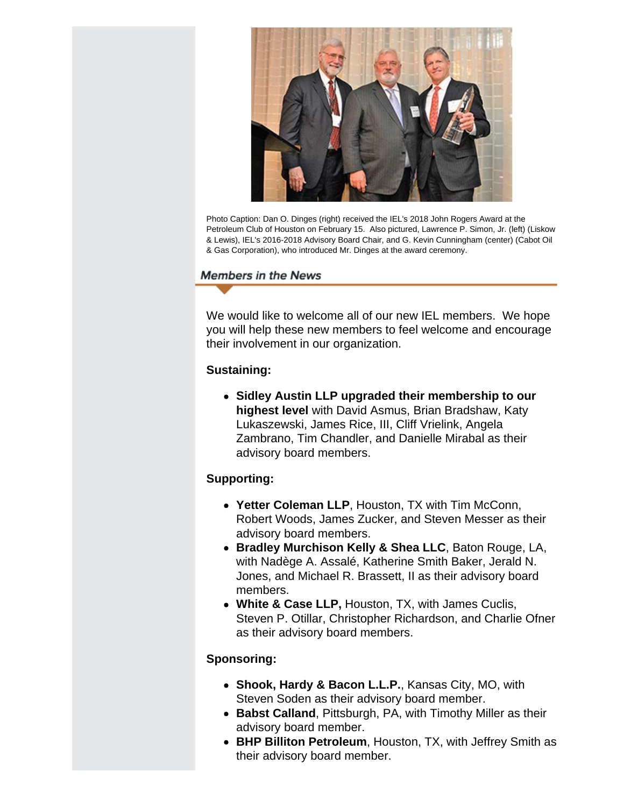

Photo Caption: Dan O. Dinges (right) received the IEL's 2018 John Rogers Award at the Petroleum Club of Houston on February 15. Also pictured, Lawrence P. Simon, Jr. (left) (Liskow & Lewis), IEL's 2016-2018 Advisory Board Chair, and G. Kevin Cunningham (center) (Cabot Oil & Gas Corporation), who introduced Mr. Dinges at the award ceremony.

# **Members in the News**

We would like to welcome all of our new IEL members. We hope you will help these new members to feel welcome and encourage their involvement in our organization.

# **Sustaining:**

**Sidley Austin LLP upgraded their membership to our highest level** with David Asmus, Brian Bradshaw, Katy Lukaszewski, James Rice, III, Cliff Vrielink, Angela Zambrano, Tim Chandler, and Danielle Mirabal as their advisory board members.

# **Supporting:**

- **Yetter Coleman LLP**, Houston, TX with Tim McConn, Robert Woods, James Zucker, and Steven Messer as their advisory board members.
- **Bradley Murchison Kelly & Shea LLC**, Baton Rouge, LA, with Nadège A. Assalé, Katherine Smith Baker, Jerald N. Jones, and Michael R. Brassett, II as their advisory board members.
- **White & Case LLP,** Houston, TX, with James Cuclis, Steven P. Otillar, Christopher Richardson, and Charlie Ofner as their advisory board members.

# **Sponsoring:**

- **Shook, Hardy & Bacon L.L.P.**, Kansas City, MO, with Steven Soden as their advisory board member.
- **Babst Calland**, Pittsburgh, PA, with Timothy Miller as their advisory board member.
- **BHP Billiton Petroleum**, Houston, TX, with Jeffrey Smith as their advisory board member.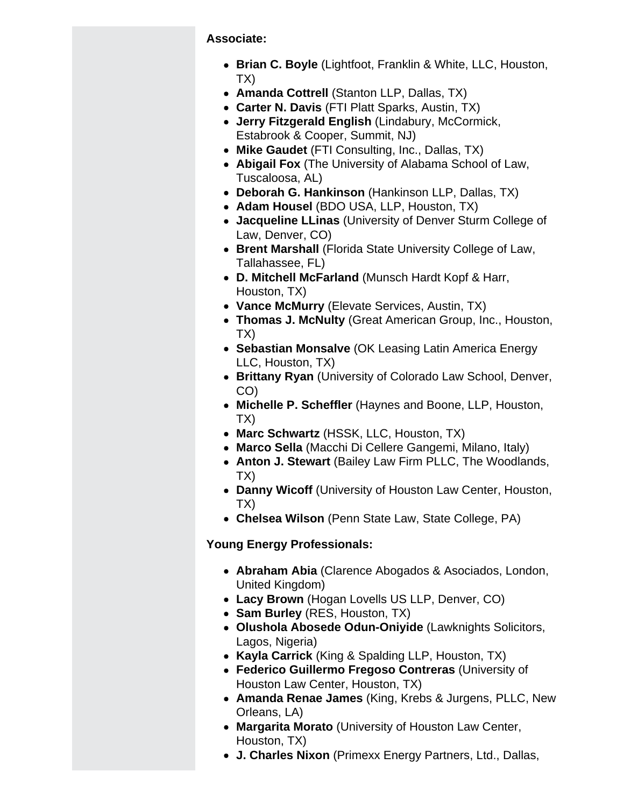**Associate:**

- **Brian C. Boyle** (Lightfoot, Franklin & White, LLC, Houston, TX)
- **Amanda Cottrell** (Stanton LLP, Dallas, TX)
- **Carter N. Davis** (FTI Platt Sparks, Austin, TX)
- **Jerry Fitzgerald English** (Lindabury, McCormick, Estabrook & Cooper, Summit, NJ)
- **Mike Gaudet** (FTI Consulting, Inc., Dallas, TX)
- **Abigail Fox** (The University of Alabama School of Law, Tuscaloosa, AL)
- **Deborah G. Hankinson** (Hankinson LLP, Dallas, TX)
- **Adam Housel** (BDO USA, LLP, Houston, TX)
- **Jacqueline LLinas** (University of Denver Sturm College of Law, Denver, CO)
- **Brent Marshall** (Florida State University College of Law, Tallahassee, FL)
- **D. Mitchell McFarland** (Munsch Hardt Kopf & Harr, Houston, TX)
- **Vance McMurry** (Elevate Services, Austin, TX)
- **Thomas J. McNulty** (Great American Group, Inc., Houston, TX)
- **Sebastian Monsalve** (OK Leasing Latin America Energy LLC, Houston, TX)
- **Brittany Ryan** (University of Colorado Law School, Denver, CO)
- **Michelle P. Scheffler** (Haynes and Boone, LLP, Houston, TX)
- **Marc Schwartz** (HSSK, LLC, Houston, TX)
- **Marco Sella** (Macchi Di Cellere Gangemi, Milano, Italy)
- **Anton J. Stewart** (Bailey Law Firm PLLC, The Woodlands, TX)
- **Danny Wicoff** (University of Houston Law Center, Houston, TX)
- **Chelsea Wilson** (Penn State Law, State College, PA)

# **Young Energy Professionals:**

- **Abraham Abia** (Clarence Abogados & Asociados, London, United Kingdom)
- **Lacy Brown** (Hogan Lovells US LLP, Denver, CO)
- **Sam Burley** (RES, Houston, TX)
- **Olushola Abosede Odun-Oniyide** (Lawknights Solicitors, Lagos, Nigeria)
- **Kayla Carrick** (King & Spalding LLP, Houston, TX)
- **Federico Guillermo Fregoso Contreras** (University of Houston Law Center, Houston, TX)
- **Amanda Renae James** (King, Krebs & Jurgens, PLLC, New Orleans, LA)
- **Margarita Morato** (University of Houston Law Center, Houston, TX)
- **J. Charles Nixon** (Primexx Energy Partners, Ltd., Dallas,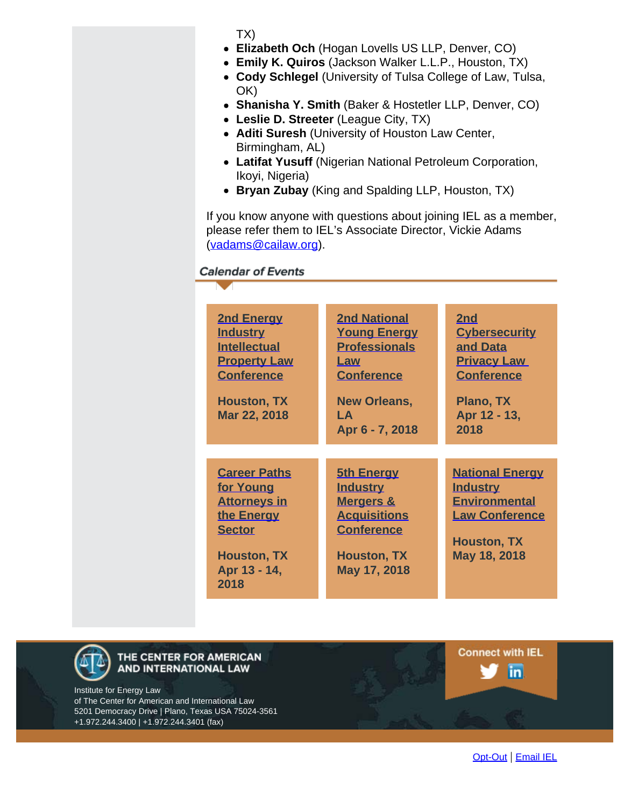TX)

- **Elizabeth Och** (Hogan Lovells US LLP, Denver, CO)
- **Emily K. Quiros** (Jackson Walker L.L.P., Houston, TX)
- **Cody Schlegel** (University of Tulsa College of Law, Tulsa, OK)
- **Shanisha Y. Smith** (Baker & Hostetler LLP, Denver, CO)
- **Leslie D. Streeter** (League City, TX)
- **Aditi Suresh** (University of Houston Law Center, Birmingham, AL)
- **Latifat Yusuff** (Nigerian National Petroleum Corporation, Ikoyi, Nigeria)
- **Bryan Zubay** (King and Spalding LLP, Houston, TX)

If you know anyone with questions about joining IEL as a member, please refer them to IEL's Associate Director, Vickie Adams [\(vadams@cailaw.org](mailto:vadams@cailaw.org)).

**Calendar of Events** 

| <b>2nd Energy</b><br><b>Industry</b><br><b>Intellectual</b><br><b>Property Law</b><br><b>Conference</b><br><b>Houston, TX</b><br>Mar 22, 2018 | <b>2nd National</b><br><b>Young Energy</b><br><b>Professionals</b><br>Law<br><b>Conference</b><br><b>New Orleans,</b><br>I A<br>Apr 6 - 7, 2018 | 2nd<br><b>Cybersecurity</b><br>and Data<br><b>Privacy Law</b><br><b>Conference</b><br>Plano, TX<br>Apr 12 - 13,<br>2018          |
|-----------------------------------------------------------------------------------------------------------------------------------------------|-------------------------------------------------------------------------------------------------------------------------------------------------|----------------------------------------------------------------------------------------------------------------------------------|
| <b>Career Paths</b><br>for Young<br><b>Attorneys in</b><br>the Energy<br><b>Sector</b><br><b>Houston, TX</b><br>Apr 13 - 14,<br>2018          | <b>5th Energy</b><br><b>Industry</b><br><b>Mergers &amp;</b><br><b>Acquisitions</b><br><b>Conference</b><br><b>Houston, TX</b><br>May 17, 2018  | <b>National Energy</b><br><b>Industry</b><br><b>Environmental</b><br><b>Law Conference</b><br><b>Houston, TX</b><br>May 18, 2018 |



THE CENTER FOR AMERICAN AND INTERNATIONAL LAW

Institute for Energy Law of The Center for American and International Law 5201 Democracy Drive | Plano, Texas USA 75024-3561 +1.972.244.3400 | +1.972.244.3401 (fax)

**Connect with IEL** in.